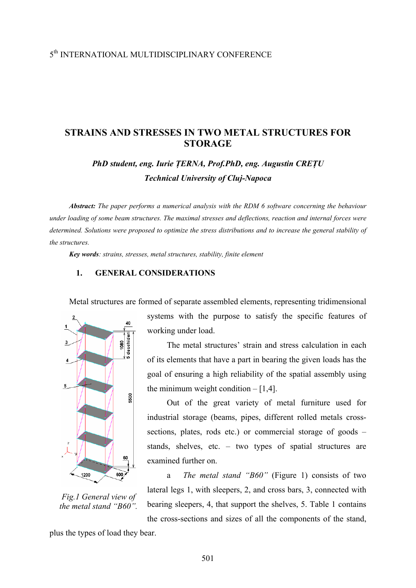# 5th INTERNATIONAL MULTIDISCIPLINARY CONFERENCE

## **STRAINS AND STRESSES IN TWO METAL STRUCTURES FOR STORAGE**

*PhD student, eng. Iurie ŢERNA, Prof.PhD, eng. Augustin CREŢU Technical University of Cluj-Napoca* 

*Abstract: The paper performs a numerical analysis with the RDM 6 software concerning the behaviour under loading of some beam structures. The maximal stresses and deflections, reaction and internal forces were determined. Solutions were proposed to optimize the stress distributions and to increase the general stability of the structures.* 

*Key words: strains, stresses, metal structures, stability, finite element* 

### **1. GENERAL CONSIDERATIONS**

Metal structures are formed of separate assembled elements, representing tridimensional



*Fig.1 General view of the metal stand "B60".* 

systems with the purpose to satisfy the specific features of working under load.

The metal structures' strain and stress calculation in each of its elements that have a part in bearing the given loads has the goal of ensuring a high reliability of the spatial assembly using the minimum weight condition  $-[1,4]$ .

Out of the great variety of metal furniture used for industrial storage (beams, pipes, different rolled metals crosssections, plates, rods etc.) or commercial storage of goods – stands, shelves, etc. – two types of spatial structures are examined further on.

a *The metal stand "B60"* (Figure 1) consists of two lateral legs 1, with sleepers, 2, and cross bars, 3, connected with bearing sleepers, 4, that support the shelves, 5. Table 1 contains the cross-sections and sizes of all the components of the stand,

plus the types of load they bear.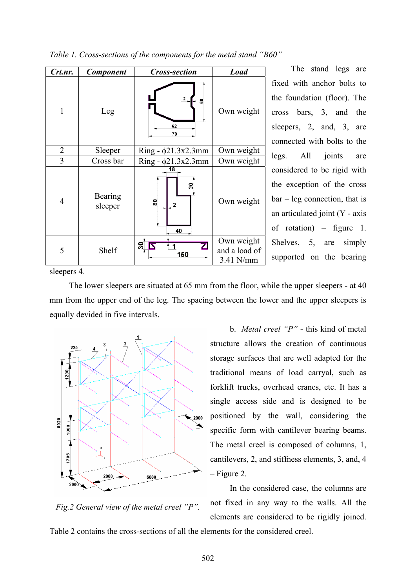| Crt.nr.        | <b>Component</b>   | <b>Cross-section</b>      | <b>Load</b>                              |
|----------------|--------------------|---------------------------|------------------------------------------|
| 1              | Leg                | 8<br>62<br>70             | Own weight                               |
| $\overline{2}$ | Sleeper            | $Ring - \phi21.3x2.3mm$   | Own weight                               |
| 3              | Cross bar          | $Ring - \phi21.3x2.3mm$   | Own weight                               |
| $\overline{4}$ | Bearing<br>sleeper | 18<br>30<br>80<br>2<br>40 | Own weight                               |
| 5              | Shelf              | ౚ<br>150                  | Own weight<br>and a load of<br>3.41 N/mm |

*Table 1. Cross-sections of the components for the metal stand "B60"* 

The stand legs are fixed with anchor bolts to the foundation (floor). The cross bars, 3, and the sleepers, 2, and, 3, are connected with bolts to the legs. All joints are considered to be rigid with the exception of the cross bar – leg connection, that is an articulated joint (Y - axis of rotation) – figure 1. Shelves, 5, are simply supported on the bearing

sleepers 4.

The lower sleepers are situated at 65 mm from the floor, while the upper sleepers - at 40 mm from the upper end of the leg. The spacing between the lower and the upper sleepers is equally devided in five intervals.



b. *Metal creel "P"* - this kind of metal structure allows the creation of continuous storage surfaces that are well adapted for the traditional means of load carryal, such as forklift trucks, overhead cranes, etc. It has a single access side and is designed to be positioned by the wall, considering the specific form with cantilever bearing beams. The metal creel is composed of columns, 1, cantilevers, 2, and stiffness elements, 3, and, 4 – Figure 2.

In the considered case, the columns are not fixed in any way to the walls. All the elements are considered to be rigidly joined.

*Fig.2 General view of the metal creel "P".* 

Table 2 contains the cross-sections of all the elements for the considered creel.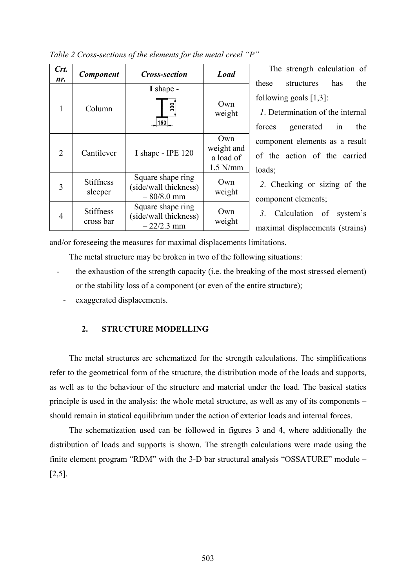| Crt.<br>nr.    | <b>Component</b>              | <i><b>Cross-section</b></i>                                | <b>Load</b>                                  |
|----------------|-------------------------------|------------------------------------------------------------|----------------------------------------------|
| 1              | Column                        | I shape -<br>ន្ល<br>150                                    | Own<br>weight                                |
| $\overline{2}$ | Cantilever                    | I shape - IPE 120                                          | Own<br>weight and<br>a load of<br>$1.5$ N/mm |
| 3              | <b>Stiffness</b><br>sleeper   | Square shape ring<br>(side/wall thickness)<br>$-80/8.0$ mm | Own<br>weight                                |
| $\overline{4}$ | <b>Stiffness</b><br>cross bar | Square shape ring<br>(side/wall thickness)<br>$-22/2.3$ mm | ()wn<br>weight                               |

*Table 2 Cross-sections of the elements for the metal creel "P"* 

The strength calculation of these structures has the following goals [1,3]:

 *1*. Determination of the internal forces generated in the component elements as a result of the action of the carried loads;

 *2*. Checking or sizing of the component elements;

 *3*. Calculation of system's maximal displacements (strains)

and/or foreseeing the measures for maximal displacements limitations.

The metal structure may be broken in two of the following situations:

- the exhaustion of the strength capacity (i.e. the breaking of the most stressed element) or the stability loss of a component (or even of the entire structure);
	- exaggerated displacements.

## **2. STRUCTURE MODELLING**

The metal structures are schematized for the strength calculations. The simplifications refer to the geometrical form of the structure, the distribution mode of the loads and supports, as well as to the behaviour of the structure and material under the load. The basical statics principle is used in the analysis: the whole metal structure, as well as any of its components – should remain in statical equilibrium under the action of exterior loads and internal forces.

The schematization used can be followed in figures 3 and 4, where additionally the distribution of loads and supports is shown. The strength calculations were made using the finite element program "RDM" with the 3-D bar structural analysis "OSSATURE" module – [2,5].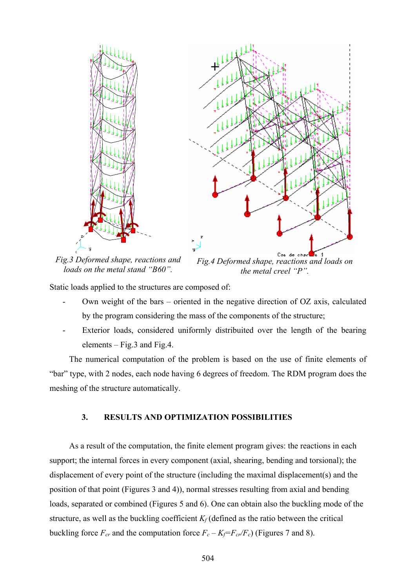

*Fig.3 Deformed shape, reactions and loads on the metal stand "B60".* 

*Fig.4 Deformed shape, reactions and loads on the metal creel "P".* 

Static loads applied to the structures are composed of:

- Own weight of the bars oriented in the negative direction of OZ axis, calculated by the program considering the mass of the components of the structure;
- Exterior loads, considered uniformly distribuited over the length of the bearing elements – Fig.3 and Fig.4.

The numerical computation of the problem is based on the use of finite elements of "bar" type, with 2 nodes, each node having 6 degrees of freedom. The RDM program does the meshing of the structure automatically.

## **3. RESULTS AND OPTIMIZATION POSSIBILITIES**

As a result of the computation, the finite element program gives: the reactions in each support; the internal forces in every component (axial, shearing, bending and torsional); the displacement of every point of the structure (including the maximal displacement(s) and the position of that point (Figures 3 and 4)), normal stresses resulting from axial and bending loads, separated or combined (Figures 5 and 6). One can obtain also the buckling mode of the structure, as well as the buckling coefficient  $K_f$  (defined as the ratio between the critical buckling force  $F_{cr}$  and the computation force  $F_c - K_f = F_{cr}/F_c$ ) (Figures 7 and 8).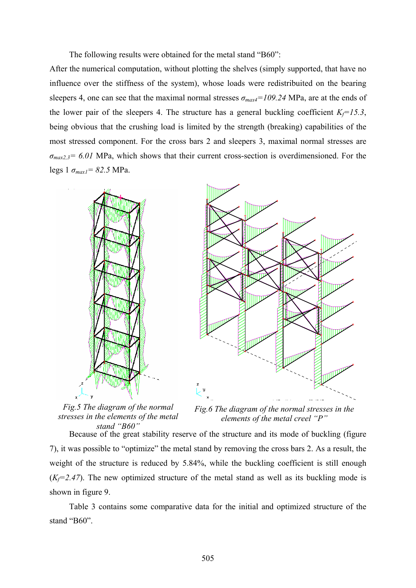The following results were obtained for the metal stand "B60":

After the numerical computation, without plotting the shelves (simply supported, that have no influence over the stiffness of the system), whose loads were redistribuited on the bearing sleepers 4, one can see that the maximal normal stresses  $\sigma_{max4}=109.24$  MPa, are at the ends of the lower pair of the sleepers 4. The structure has a general buckling coefficient  $K_f = 15.3$ , being obvious that the crushing load is limited by the strength (breaking) capabilities of the most stressed component. For the cross bars 2 and sleepers 3, maximal normal stresses are *σmax2,3= 6.01* MPa, which shows that their current cross-section is overdimensioned. For the legs 1 *σmax1= 82.5* MPa.



*Fig.5 The diagram of the normal stresses in the elements of the metal stand "B60"* 

*Fig.6 The diagram of the normal stresses in the elements of the metal creel "P"* 

Because of the great stability reserve of the structure and its mode of buckling (figure 7), it was possible to "optimize" the metal stand by removing the cross bars 2. As a result, the weight of the structure is reduced by 5.84%, while the buckling coefficient is still enough  $(K_f=2.47)$ . The new optimized structure of the metal stand as well as its buckling mode is shown in figure 9.

Table 3 contains some comparative data for the initial and optimized structure of the stand "B60".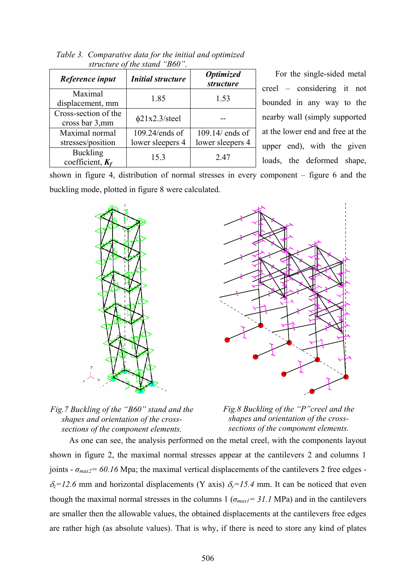| structure of the stand "B60".          |                          |                                      |  |  |  |  |
|----------------------------------------|--------------------------|--------------------------------------|--|--|--|--|
| Reference input                        | <b>Initial structure</b> | <b>Optimized</b><br><i>structure</i> |  |  |  |  |
| Maximal<br>displacement, mm            | 1.85                     | 1.53                                 |  |  |  |  |
| Cross-section of the<br>cross bar 3,mm | $\phi$ 21x2.3/steel      |                                      |  |  |  |  |
| Maximal normal                         | $109.24$ /ends of        | $109.14$ ends of                     |  |  |  |  |
| stresses/position                      | lower sleepers 4         | lower sleepers 4                     |  |  |  |  |
| <b>Buckling</b><br>coefficient, $K_f$  | 15.3                     | 247                                  |  |  |  |  |

*Table 3. Comparative data for the initial and optimized* 

For the single-sided metal creel – considering it not bounded in any way to the nearby wall (simply supported at the lower end and free at the upper end), with the given loads, the deformed shape,

coefficient, *Kf*

shown in figure 4, distribution of normal stresses in every component – figure 6 and the buckling mode, plotted in figure 8 were calculated.







*Fig.8 Buckling of the "P"creel and the shapes and orientation of the crosssections of the component elements.*

As one can see, the analysis performed on the metal creel, with the components layout shown in figure 2, the maximal normal stresses appear at the cantilevers 2 and columns 1 joints -  $\sigma_{max2}$ = 60.16 Mpa; the maximal vertical displacements of the cantilevers 2 free edges - $\delta_z = 12.6$  mm and horizontal displacements (Y axis)  $\delta_y = 15.4$  mm. It can be noticed that even though the maximal normal stresses in the columns  $1 (\sigma_{max1} = 31.1 \text{ MPa})$  and in the cantilevers are smaller then the allowable values, the obtained displacements at the cantilevers free edges are rather high (as absolute values). That is why, if there is need to store any kind of plates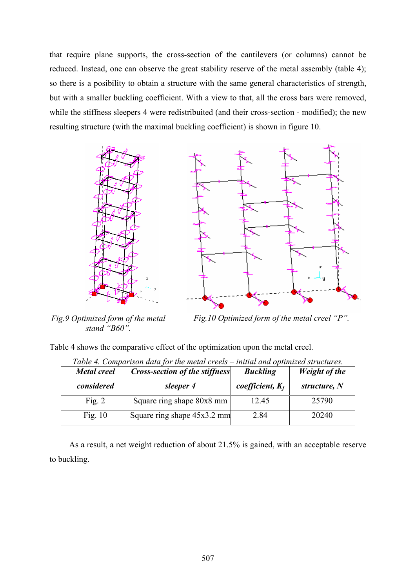that require plane supports, the cross-section of the cantilevers (or columns) cannot be reduced. Instead, one can observe the great stability reserve of the metal assembly (table 4); so there is a posibility to obtain a structure with the same general characteristics of strength, but with a smaller buckling coefficient. With a view to that, all the cross bars were removed, while the stiffness sleepers 4 were redistribuited (and their cross-section - modified); the new resulting structure (with the maximal buckling coefficient) is shown in figure 10.



*stand "B60".* 

*Fig.9 Optimized form of the metal Fig.10 Optimized form of the metal creel "P"*.

Table 4 shows the comparative effect of the optimization upon the metal creel.

| Table 4. Comparison data for the metal creels – initial and optimized structures. |                                |                    |                |  |  |  |  |
|-----------------------------------------------------------------------------------|--------------------------------|--------------------|----------------|--|--|--|--|
| <b>Metal</b> creel                                                                | Cross-section of the stiffness | <b>Buckling</b>    | Weight of the  |  |  |  |  |
| considered                                                                        | sleeper 4                      | coefficient, $K_f$ | structure, $N$ |  |  |  |  |
| Fig. $2$                                                                          | Square ring shape 80x8 mm      | 12.45              | 25790          |  |  |  |  |
| Fig. $10$                                                                         | Square ring shape 45x3.2 mm    | 2.84               | 20240          |  |  |  |  |

As a result, a net weight reduction of about 21.5% is gained, with an acceptable reserve to buckling.